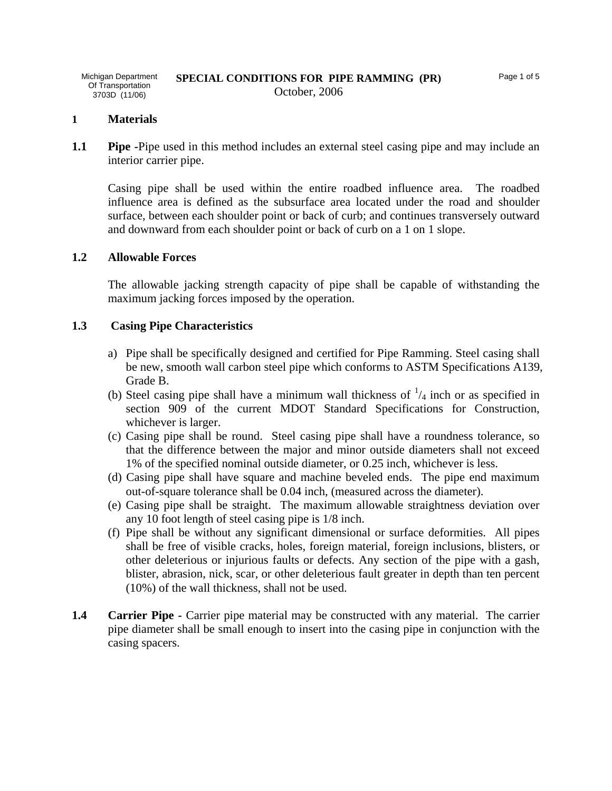#### **1 Materials**

**1.1 Pipe -Pipe used in this method includes an external steel casing pipe and may include an** interior carrier pipe.

Casing pipe shall be used within the entire roadbed influence area. The roadbed influence area is defined as the subsurface area located under the road and shoulder surface, between each shoulder point or back of curb; and continues transversely outward and downward from each shoulder point or back of curb on a 1 on 1 slope.

#### **1.2 Allowable Forces**

 The allowable jacking strength capacity of pipe shall be capable of withstanding the maximum jacking forces imposed by the operation.

#### **1.3 Casing Pipe Characteristics**

- a) Pipe shall be specifically designed and certified for Pipe Ramming. Steel casing shall be new, smooth wall carbon steel pipe which conforms to ASTM Specifications A139, Grade B.
- (b) Steel casing pipe shall have a minimum wall thickness of  $\frac{1}{4}$  inch or as specified in section 909 of the current MDOT Standard Specifications for Construction, whichever is larger.
- (c) Casing pipe shall be round. Steel casing pipe shall have a roundness tolerance, so that the difference between the major and minor outside diameters shall not exceed 1% of the specified nominal outside diameter, or 0.25 inch, whichever is less.
- (d) Casing pipe shall have square and machine beveled ends. The pipe end maximum out-of-square tolerance shall be 0.04 inch, (measured across the diameter).
- (e) Casing pipe shall be straight. The maximum allowable straightness deviation over any 10 foot length of steel casing pipe is 1/8 inch.
- (f) Pipe shall be without any significant dimensional or surface deformities. All pipes shall be free of visible cracks, holes, foreign material, foreign inclusions, blisters, or other deleterious or injurious faults or defects. Any section of the pipe with a gash, blister, abrasion, nick, scar, or other deleterious fault greater in depth than ten percent (10%) of the wall thickness, shall not be used.
- **1.4 Carrier Pipe -** Carrier pipe material may be constructed with any material. The carrier pipe diameter shall be small enough to insert into the casing pipe in conjunction with the casing spacers.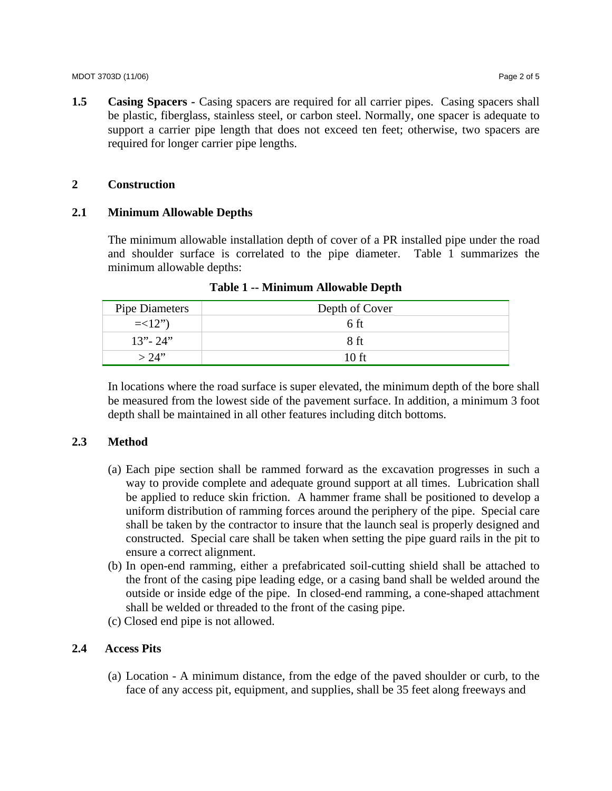**1.5 Casing Spacers - Casing spacers are required for all carrier pipes. Casing spacers shall** be plastic, fiberglass, stainless steel, or carbon steel. Normally, one spacer is adequate to support a carrier pipe length that does not exceed ten feet; otherwise, two spacers are required for longer carrier pipe lengths.

# **2 Construction**

# **2.1 Minimum Allowable Depths**

The minimum allowable installation depth of cover of a PR installed pipe under the road and shoulder surface is correlated to the pipe diameter. Table 1 summarizes the minimum allowable depths:

| Pipe Diameters | Depth of Cover  |
|----------------|-----------------|
| $=<12"$        | 6 ft            |
| $13" - 24"$    | 8 <sub>ft</sub> |
| $> 24$ "       | 10 ft           |

**Table 1 -- Minimum Allowable Depth** 

In locations where the road surface is super elevated, the minimum depth of the bore shall be measured from the lowest side of the pavement surface. In addition, a minimum 3 foot depth shall be maintained in all other features including ditch bottoms.

# **2.3 Method**

- (a) Each pipe section shall be rammed forward as the excavation progresses in such a way to provide complete and adequate ground support at all times. Lubrication shall be applied to reduce skin friction. A hammer frame shall be positioned to develop a uniform distribution of ramming forces around the periphery of the pipe. Special care shall be taken by the contractor to insure that the launch seal is properly designed and constructed. Special care shall be taken when setting the pipe guard rails in the pit to ensure a correct alignment.
- (b) In open-end ramming, either a prefabricated soil-cutting shield shall be attached to the front of the casing pipe leading edge, or a casing band shall be welded around the outside or inside edge of the pipe. In closed-end ramming, a cone-shaped attachment shall be welded or threaded to the front of the casing pipe.
- (c) Closed end pipe is not allowed.

# **2.4 Access Pits**

(a) Location - A minimum distance, from the edge of the paved shoulder or curb, to the face of any access pit, equipment, and supplies, shall be 35 feet along freeways and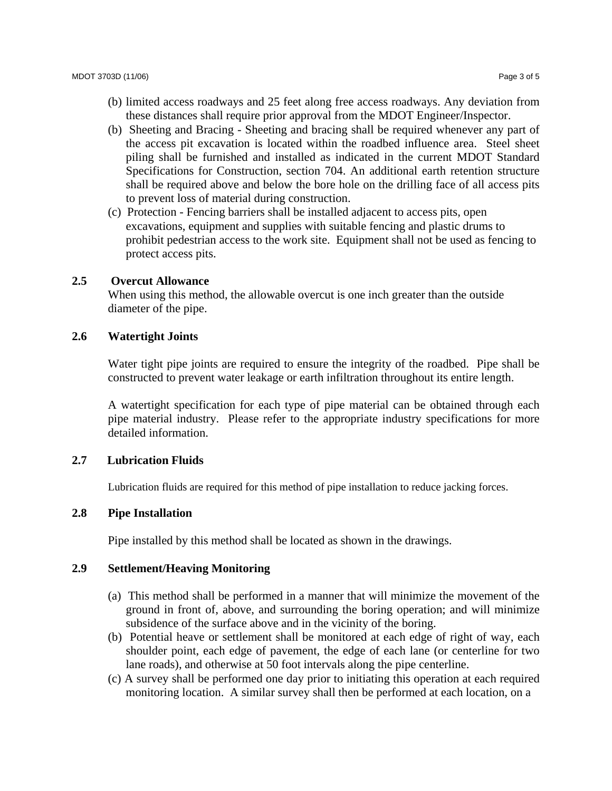- (b) limited access roadways and 25 feet along free access roadways. Any deviation from these distances shall require prior approval from the MDOT Engineer/Inspector.
- (b) Sheeting and Bracing Sheeting and bracing shall be required whenever any part of the access pit excavation is located within the roadbed influence area. Steel sheet piling shall be furnished and installed as indicated in the current MDOT Standard Specifications for Construction, section 704. An additional earth retention structure shall be required above and below the bore hole on the drilling face of all access pits to prevent loss of material during construction.
- (c) Protection Fencing barriers shall be installed adjacent to access pits, open excavations, equipment and supplies with suitable fencing and plastic drums to prohibit pedestrian access to the work site. Equipment shall not be used as fencing to protect access pits.

## **2.5 Overcut Allowance**

 When using this method, the allowable overcut is one inch greater than the outside diameter of the pipe.

### **2.6 Watertight Joints**

Water tight pipe joints are required to ensure the integrity of the roadbed. Pipe shall be constructed to prevent water leakage or earth infiltration throughout its entire length.

A watertight specification for each type of pipe material can be obtained through each pipe material industry. Please refer to the appropriate industry specifications for more detailed information.

#### **2.7 Lubrication Fluids**

Lubrication fluids are required for this method of pipe installation to reduce jacking forces.

# **2.8 Pipe Installation**

Pipe installed by this method shall be located as shown in the drawings.

# **2.9 Settlement/Heaving Monitoring**

- (a) This method shall be performed in a manner that will minimize the movement of the ground in front of, above, and surrounding the boring operation; and will minimize subsidence of the surface above and in the vicinity of the boring.
- (b) Potential heave or settlement shall be monitored at each edge of right of way, each shoulder point, each edge of pavement, the edge of each lane (or centerline for two lane roads), and otherwise at 50 foot intervals along the pipe centerline.
- (c) A survey shall be performed one day prior to initiating this operation at each required monitoring location. A similar survey shall then be performed at each location, on a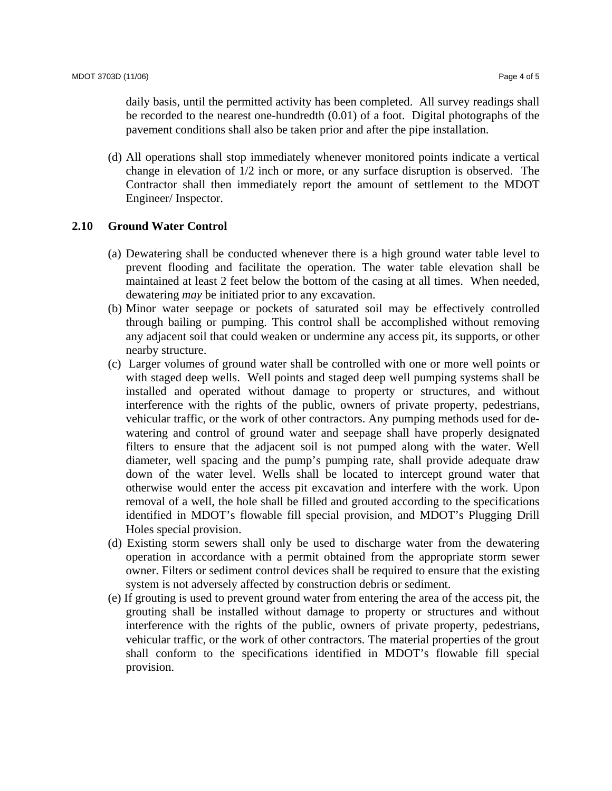daily basis, until the permitted activity has been completed. All survey readings shall be recorded to the nearest one-hundredth (0.01) of a foot. Digital photographs of the pavement conditions shall also be taken prior and after the pipe installation.

(d) All operations shall stop immediately whenever monitored points indicate a vertical change in elevation of 1/2 inch or more, or any surface disruption is observed. The Contractor shall then immediately report the amount of settlement to the MDOT Engineer/ Inspector.

## **2.10 Ground Water Control**

- (a) Dewatering shall be conducted whenever there is a high ground water table level to prevent flooding and facilitate the operation. The water table elevation shall be maintained at least 2 feet below the bottom of the casing at all times. When needed, dewatering *may* be initiated prior to any excavation.
- (b) Minor water seepage or pockets of saturated soil may be effectively controlled through bailing or pumping. This control shall be accomplished without removing any adjacent soil that could weaken or undermine any access pit, its supports, or other nearby structure.
- (c) Larger volumes of ground water shall be controlled with one or more well points or with staged deep wells. Well points and staged deep well pumping systems shall be installed and operated without damage to property or structures, and without interference with the rights of the public, owners of private property, pedestrians, vehicular traffic, or the work of other contractors. Any pumping methods used for dewatering and control of ground water and seepage shall have properly designated filters to ensure that the adjacent soil is not pumped along with the water. Well diameter, well spacing and the pump's pumping rate, shall provide adequate draw down of the water level. Wells shall be located to intercept ground water that otherwise would enter the access pit excavation and interfere with the work. Upon removal of a well, the hole shall be filled and grouted according to the specifications identified in MDOT's flowable fill special provision, and MDOT's Plugging Drill Holes special provision.
- (d) Existing storm sewers shall only be used to discharge water from the dewatering operation in accordance with a permit obtained from the appropriate storm sewer owner. Filters or sediment control devices shall be required to ensure that the existing system is not adversely affected by construction debris or sediment.
- (e) If grouting is used to prevent ground water from entering the area of the access pit, the grouting shall be installed without damage to property or structures and without interference with the rights of the public, owners of private property, pedestrians, vehicular traffic, or the work of other contractors. The material properties of the grout shall conform to the specifications identified in MDOT's flowable fill special provision.